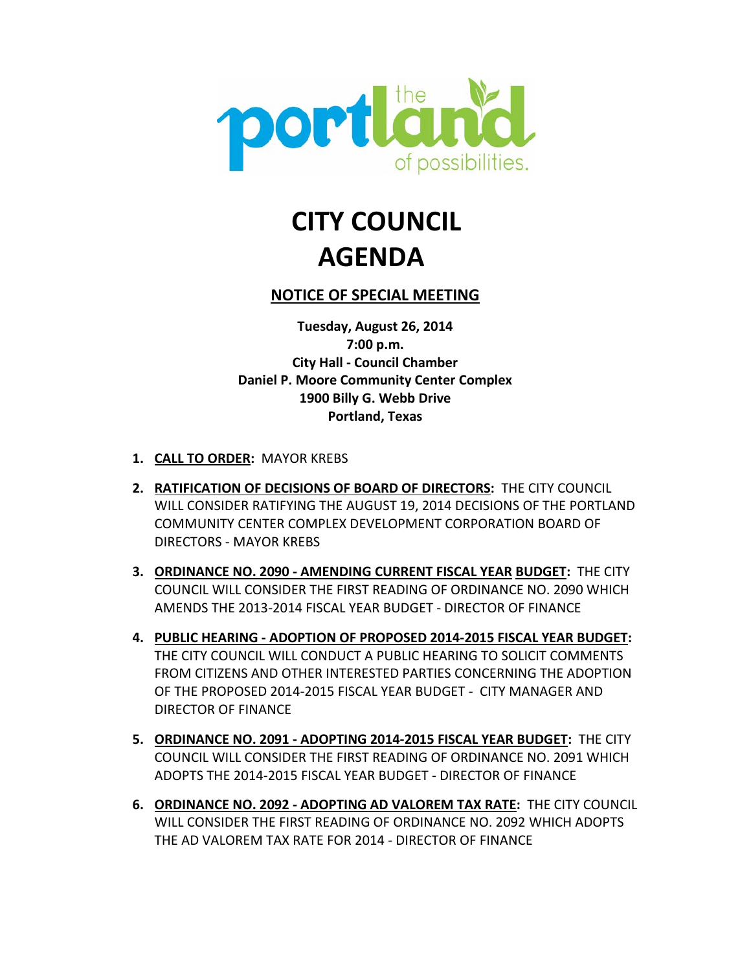

# **CITY COUNCIL AGENDA**

# **NOTICE OF SPECIAL MEETING**

**Tuesday, August 26, 2014 7:00 p.m. City Hall - Council Chamber Daniel P. Moore Community Center Complex 1900 Billy G. Webb Drive Portland, Texas**

- **1. CALL TO ORDER:** MAYOR KREBS
- **2. RATIFICATION OF DECISIONS OF BOARD OF DIRECTORS:** THE CITY COUNCIL WILL CONSIDER RATIFYING THE AUGUST 19, 2014 DECISIONS OF THE PORTLAND COMMUNITY CENTER COMPLEX DEVELOPMENT CORPORATION BOARD OF DIRECTORS - MAYOR KREBS
- **3. ORDINANCE NO. 2090 - AMENDING CURRENT FISCAL YEAR BUDGET:** THE CITY COUNCIL WILL CONSIDER THE FIRST READING OF ORDINANCE NO. 2090 WHICH AMENDS THE 2013-2014 FISCAL YEAR BUDGET - DIRECTOR OF FINANCE
- **4. PUBLIC HEARING - ADOPTION OF PROPOSED 2014-2015 FISCAL YEAR BUDGET:**  THE CITY COUNCIL WILL CONDUCT A PUBLIC HEARING TO SOLICIT COMMENTS FROM CITIZENS AND OTHER INTERESTED PARTIES CONCERNING THE ADOPTION OF THE PROPOSED 2014-2015 FISCAL YEAR BUDGET - CITY MANAGER AND DIRECTOR OF FINANCE
- **5. ORDINANCE NO. 2091 - ADOPTING 2014-2015 FISCAL YEAR BUDGET:** THE CITY COUNCIL WILL CONSIDER THE FIRST READING OF ORDINANCE NO. 2091 WHICH ADOPTS THE 2014-2015 FISCAL YEAR BUDGET - DIRECTOR OF FINANCE
- **6. ORDINANCE NO. 2092 - ADOPTING AD VALOREM TAX RATE:** THE CITY COUNCIL WILL CONSIDER THE FIRST READING OF ORDINANCE NO. 2092 WHICH ADOPTS THE AD VALOREM TAX RATE FOR 2014 - DIRECTOR OF FINANCE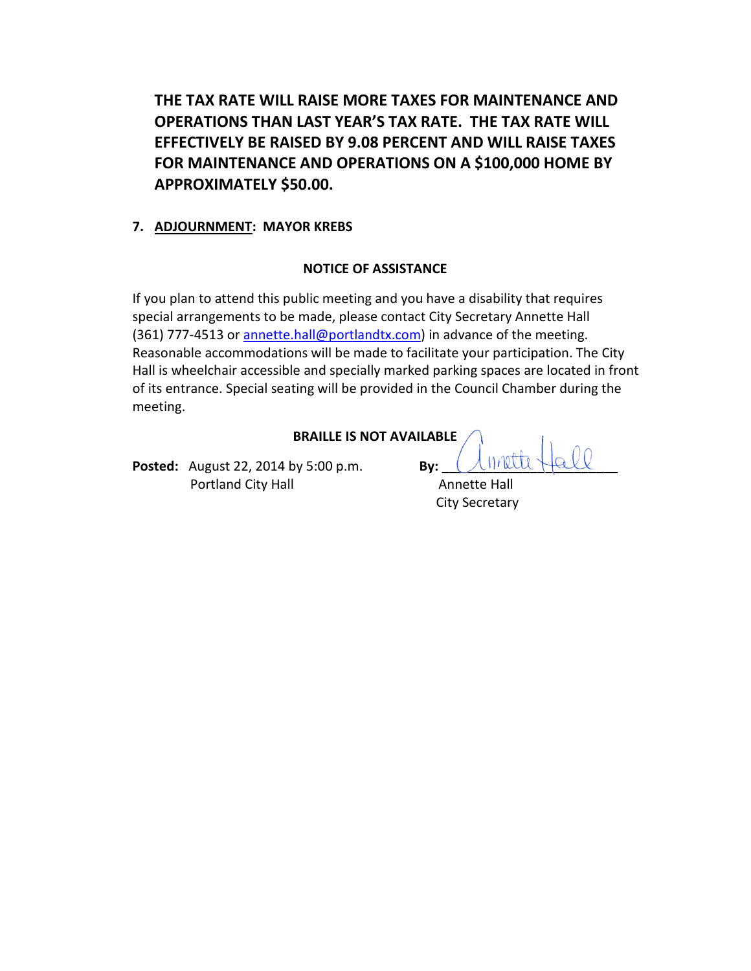**THE TAX RATE WILL RAISE MORE TAXES FOR MAINTENANCE AND OPERATIONS THAN LAST YEAR'S TAX RATE. THE TAX RATE WILL EFFECTIVELY BE RAISED BY 9.08 PERCENT AND WILL RAISE TAXES FOR MAINTENANCE AND OPERATIONS ON A \$100,000 HOME BY APPROXIMATELY \$50.00.**

# **7. ADJOURNMENT: MAYOR KREBS**

# **NOTICE OF ASSISTANCE**

If you plan to attend this public meeting and you have a disability that requires special arrangements to be made, please contact City Secretary Annette Hall (361) 777-4513 or annette.hall@portlandtx.com) in advance of the meeting. Reasonable accommodations will be made to facilitate your participation. The City Hall is wheelchair accessible and specially marked parking spaces are located in front of its entrance. Special seating will be provided in the Council Chamber during the meeting.

| <b>BRAILLE IS NOT AVAILABLE</b> |     |               |  |
|---------------------------------|-----|---------------|--|
| by 5:00 p.m.                    | Rv: | Climatte Hall |  |

**Posted:** August 22, 2014 by 5:00 p.m. **Portland City Hall Annette Hall Annette Hall** 

City Secretary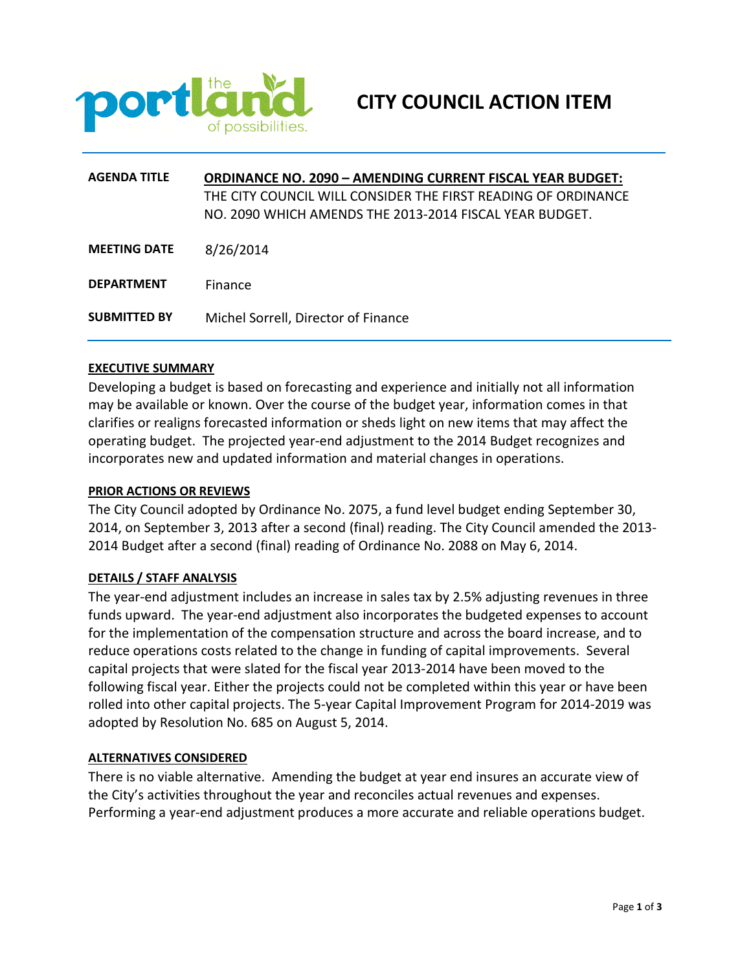

| <b>AGENDA TITLE</b> | <b>ORDINANCE NO. 2090 - AMENDING CURRENT FISCAL YEAR BUDGET:</b><br>THE CITY COUNCIL WILL CONSIDER THE FIRST READING OF ORDINANCE |
|---------------------|-----------------------------------------------------------------------------------------------------------------------------------|
|                     | NO. 2090 WHICH AMENDS THE 2013-2014 FISCAL YEAR BUDGET.                                                                           |
| <b>MEETING DATE</b> | 8/26/2014                                                                                                                         |
| <b>DEPARTMENT</b>   | <b>Finance</b>                                                                                                                    |
| <b>SUBMITTED BY</b> | Michel Sorrell, Director of Finance                                                                                               |

Developing a budget is based on forecasting and experience and initially not all information may be available or known. Over the course of the budget year, information comes in that clarifies or realigns forecasted information or sheds light on new items that may affect the operating budget. The projected year-end adjustment to the 2014 Budget recognizes and incorporates new and updated information and material changes in operations.

#### **PRIOR ACTIONS OR REVIEWS**

The City Council adopted by Ordinance No. 2075, a fund level budget ending September 30, 2014, on September 3, 2013 after a second (final) reading. The City Council amended the 2013- 2014 Budget after a second (final) reading of Ordinance No. 2088 on May 6, 2014.

## **DETAILS / STAFF ANALYSIS**

The year-end adjustment includes an increase in sales tax by 2.5% adjusting revenues in three funds upward. The year-end adjustment also incorporates the budgeted expenses to account for the implementation of the compensation structure and across the board increase, and to reduce operations costs related to the change in funding of capital improvements. Several capital projects that were slated for the fiscal year 2013-2014 have been moved to the following fiscal year. Either the projects could not be completed within this year or have been rolled into other capital projects. The 5-year Capital Improvement Program for 2014-2019 was adopted by Resolution No. 685 on August 5, 2014.

#### **ALTERNATIVES CONSIDERED**

There is no viable alternative. Amending the budget at year end insures an accurate view of the City's activities throughout the year and reconciles actual revenues and expenses. Performing a year-end adjustment produces a more accurate and reliable operations budget.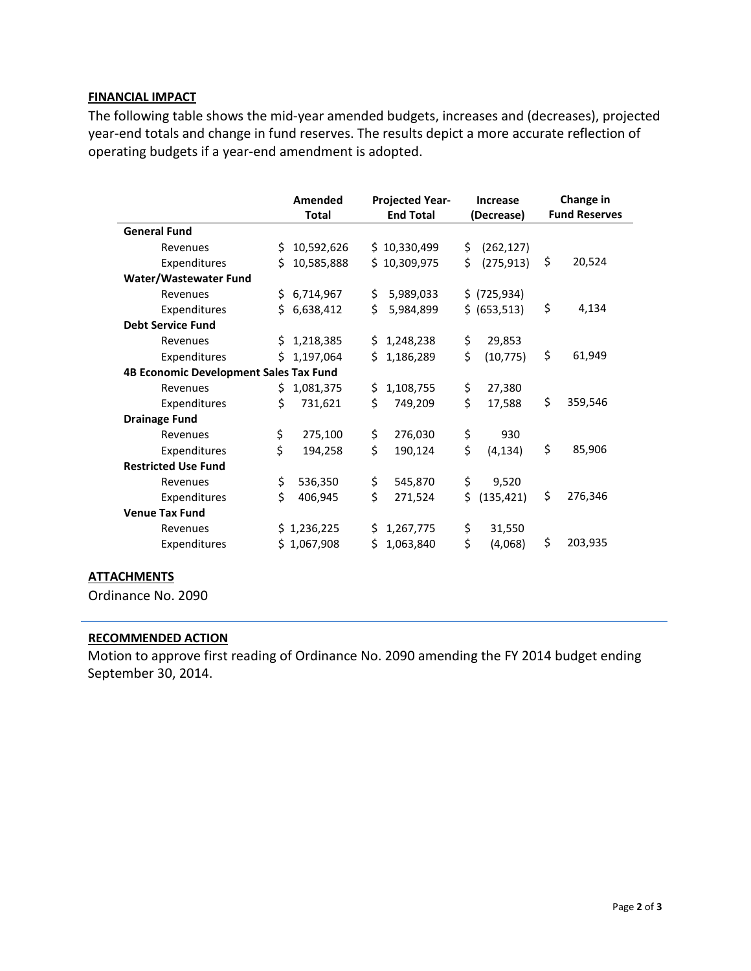# **FINANCIAL IMPACT**

The following table shows the mid-year amended budgets, increases and (decreases), projected year-end totals and change in fund reserves. The results depict a more accurate reflection of operating budgets if a year-end amendment is adopted.

|                                        |     | Amended<br><b>Total</b> |     | <b>Projected Year-</b><br><b>End Total</b> |    | <b>Increase</b><br>(Decrease) | Change in<br><b>Fund Reserves</b> |
|----------------------------------------|-----|-------------------------|-----|--------------------------------------------|----|-------------------------------|-----------------------------------|
| <b>General Fund</b>                    |     |                         |     |                                            |    |                               |                                   |
| Revenues                               | \$. | 10,592,626              |     | \$10,330,499                               | \$ | (262, 127)                    |                                   |
| Expenditures                           | Ś.  | 10,585,888              |     | \$10,309,975                               | \$ | (275, 913)                    | \$<br>20,524                      |
| Water/Wastewater Fund                  |     |                         |     |                                            |    |                               |                                   |
| Revenues                               |     | \$6,714,967             | \$  | 5,989,033                                  |    | \$ (725, 934)                 |                                   |
| Expenditures                           | Ś.  | 6,638,412               | \$  | 5,984,899                                  |    | \$ (653,513)                  | \$<br>4,134                       |
| <b>Debt Service Fund</b>               |     |                         |     |                                            |    |                               |                                   |
| Revenues                               | S.  | 1,218,385               |     | \$1,248,238                                | \$ | 29,853                        |                                   |
| Expenditures                           | Ś.  | 1,197,064               | Ś.  | 1,186,289                                  | \$ | (10, 775)                     | \$<br>61,949                      |
| 4B Economic Development Sales Tax Fund |     |                         |     |                                            |    |                               |                                   |
| Revenues                               | Ś.  | 1,081,375               | \$  | 1,108,755                                  | \$ | 27,380                        |                                   |
| Expenditures                           | Ś.  | 731,621                 | \$  | 749,209                                    | \$ | 17,588                        | \$<br>359,546                     |
| <b>Drainage Fund</b>                   |     |                         |     |                                            |    |                               |                                   |
| Revenues                               | \$  | 275,100                 | \$  | 276,030                                    | \$ | 930                           |                                   |
| Expenditures                           | \$  | 194,258                 | \$  | 190,124                                    | \$ | (4, 134)                      | \$<br>85,906                      |
| <b>Restricted Use Fund</b>             |     |                         |     |                                            |    |                               |                                   |
| Revenues                               | \$  | 536,350                 | \$  | 545,870                                    | \$ | 9,520                         |                                   |
| Expenditures                           | Ś.  | 406,945                 | \$  | 271,524                                    | Ś. | (135, 421)                    | \$<br>276,346                     |
| <b>Venue Tax Fund</b>                  |     |                         |     |                                            |    |                               |                                   |
| Revenues                               |     | \$1,236,225             | \$. | 1,267,775                                  | \$ | 31,550                        |                                   |
| Expenditures                           |     | \$1,067,908             | Ś.  | 1,063,840                                  | \$ | (4,068)                       | \$<br>203,935                     |

Ordinance No. 2090

## **RECOMMENDED ACTION**

Motion to approve first reading of Ordinance No. 2090 amending the FY 2014 budget ending September 30, 2014.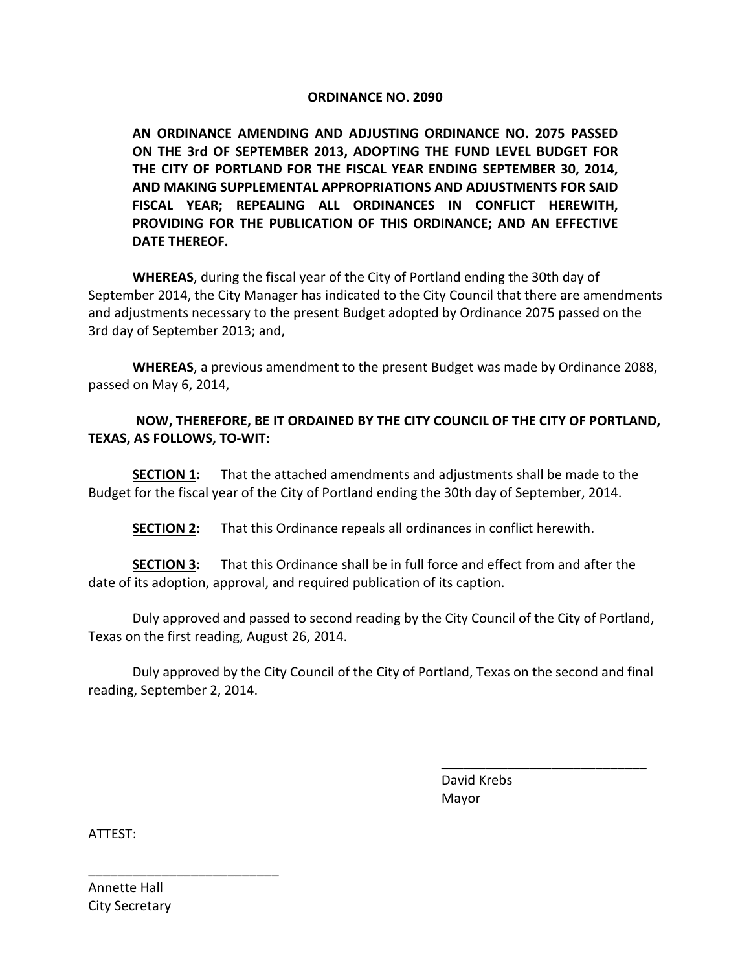# **ORDINANCE NO. 2090**

**AN ORDINANCE AMENDING AND ADJUSTING ORDINANCE NO. 2075 PASSED ON THE 3rd OF SEPTEMBER 2013, ADOPTING THE FUND LEVEL BUDGET FOR THE CITY OF PORTLAND FOR THE FISCAL YEAR ENDING SEPTEMBER 30, 2014, AND MAKING SUPPLEMENTAL APPROPRIATIONS AND ADJUSTMENTS FOR SAID FISCAL YEAR; REPEALING ALL ORDINANCES IN CONFLICT HEREWITH, PROVIDING FOR THE PUBLICATION OF THIS ORDINANCE; AND AN EFFECTIVE DATE THEREOF.**

**WHEREAS**, during the fiscal year of the City of Portland ending the 30th day of September 2014, the City Manager has indicated to the City Council that there are amendments and adjustments necessary to the present Budget adopted by Ordinance 2075 passed on the 3rd day of September 2013; and,

**WHEREAS**, a previous amendment to the present Budget was made by Ordinance 2088, passed on May 6, 2014,

# **NOW, THEREFORE, BE IT ORDAINED BY THE CITY COUNCIL OF THE CITY OF PORTLAND, TEXAS, AS FOLLOWS, TO-WIT:**

**SECTION 1:** That the attached amendments and adjustments shall be made to the Budget for the fiscal year of the City of Portland ending the 30th day of September, 2014.

**SECTION 2:** That this Ordinance repeals all ordinances in conflict herewith.

**SECTION 3:** That this Ordinance shall be in full force and effect from and after the date of its adoption, approval, and required publication of its caption.

Duly approved and passed to second reading by the City Council of the City of Portland, Texas on the first reading, August 26, 2014.

Duly approved by the City Council of the City of Portland, Texas on the second and final reading, September 2, 2014.

> David Krebs Mayor

\_\_\_\_\_\_\_\_\_\_\_\_\_\_\_\_\_\_\_\_\_\_\_\_\_\_\_\_

ATTEST:

Annette Hall City Secretary

\_\_\_\_\_\_\_\_\_\_\_\_\_\_\_\_\_\_\_\_\_\_\_\_\_\_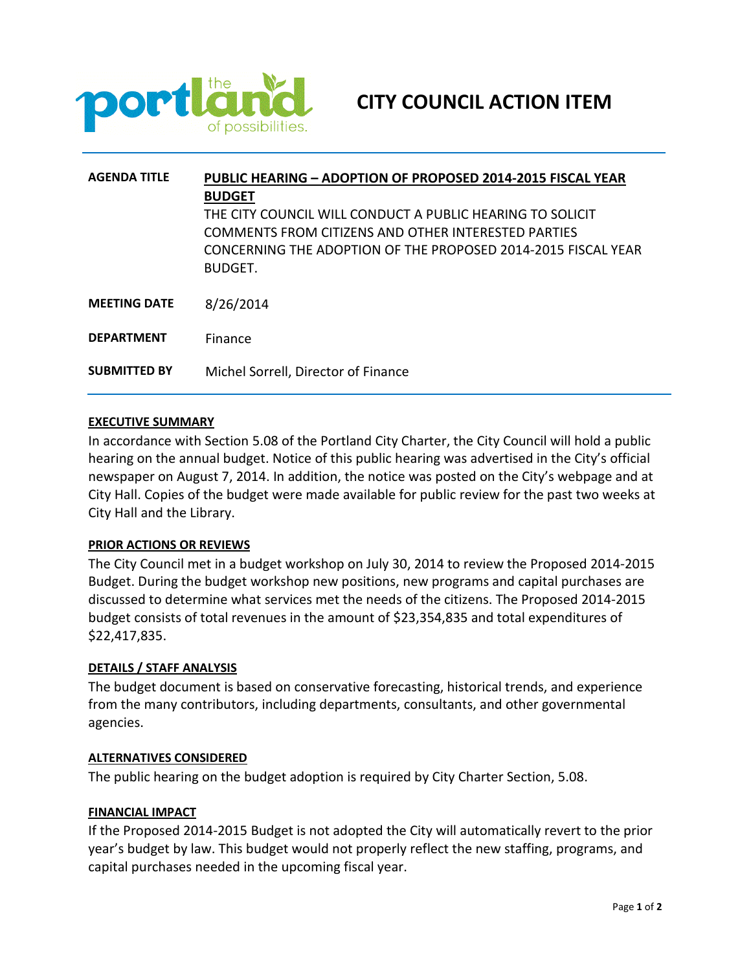

| <b>AGENDA TITLE</b> | <b>PUBLIC HEARING - ADOPTION OF PROPOSED 2014-2015 FISCAL YEAR</b><br><b>BUDGET</b>                                                                                               |  |  |  |
|---------------------|-----------------------------------------------------------------------------------------------------------------------------------------------------------------------------------|--|--|--|
|                     | THE CITY COUNCIL WILL CONDUCT A PUBLIC HEARING TO SOLICIT<br>COMMENTS FROM CITIZENS AND OTHER INTERESTED PARTIES<br>CONCERNING THE ADOPTION OF THE PROPOSED 2014-2015 FISCAL YEAR |  |  |  |
|                     | <b>BUDGFT.</b>                                                                                                                                                                    |  |  |  |
| <b>MEETING DATE</b> | 8/26/2014                                                                                                                                                                         |  |  |  |
| <b>DEPARTMENT</b>   | Finance                                                                                                                                                                           |  |  |  |
| <b>SUBMITTED BY</b> | Michel Sorrell, Director of Finance                                                                                                                                               |  |  |  |

In accordance with Section 5.08 of the Portland City Charter, the City Council will hold a public hearing on the annual budget. Notice of this public hearing was advertised in the City's official newspaper on August 7, 2014. In addition, the notice was posted on the City's webpage and at City Hall. Copies of the budget were made available for public review for the past two weeks at City Hall and the Library.

#### **PRIOR ACTIONS OR REVIEWS**

The City Council met in a budget workshop on July 30, 2014 to review the Proposed 2014-2015 Budget. During the budget workshop new positions, new programs and capital purchases are discussed to determine what services met the needs of the citizens. The Proposed 2014-2015 budget consists of total revenues in the amount of \$23,354,835 and total expenditures of \$22,417,835.

#### **DETAILS / STAFF ANALYSIS**

The budget document is based on conservative forecasting, historical trends, and experience from the many contributors, including departments, consultants, and other governmental agencies.

#### **ALTERNATIVES CONSIDERED**

The public hearing on the budget adoption is required by City Charter Section, 5.08.

#### **FINANCIAL IMPACT**

If the Proposed 2014-2015 Budget is not adopted the City will automatically revert to the prior year's budget by law. This budget would not properly reflect the new staffing, programs, and capital purchases needed in the upcoming fiscal year.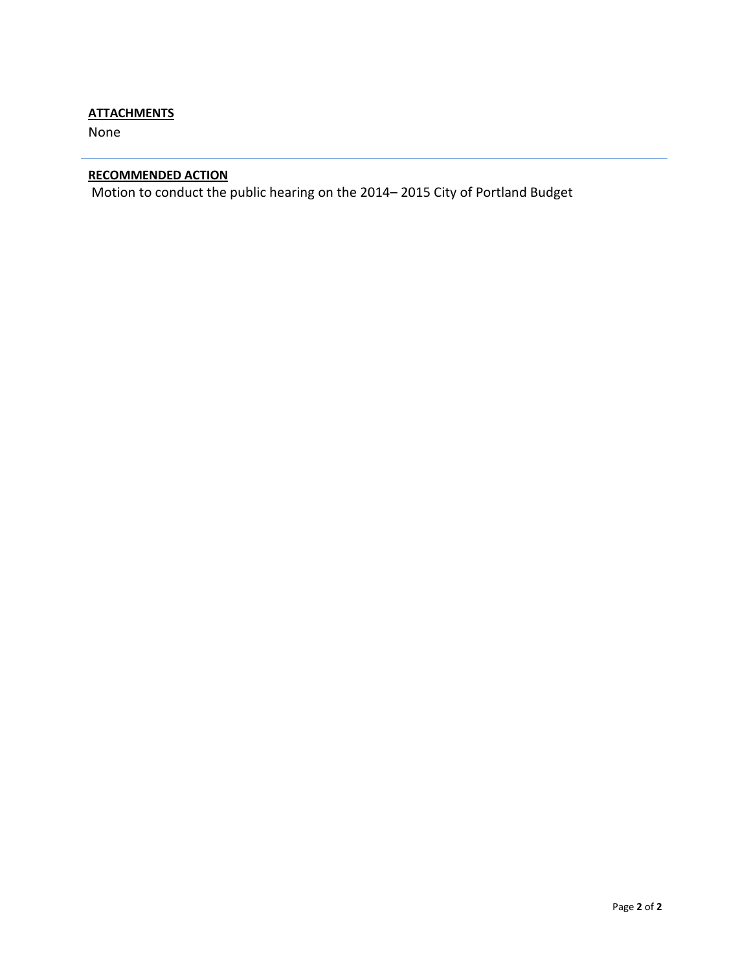# **ATTACHMENTS**

None

# **RECOMMENDED ACTION**

Motion to conduct the public hearing on the 2014– 2015 City of Portland Budget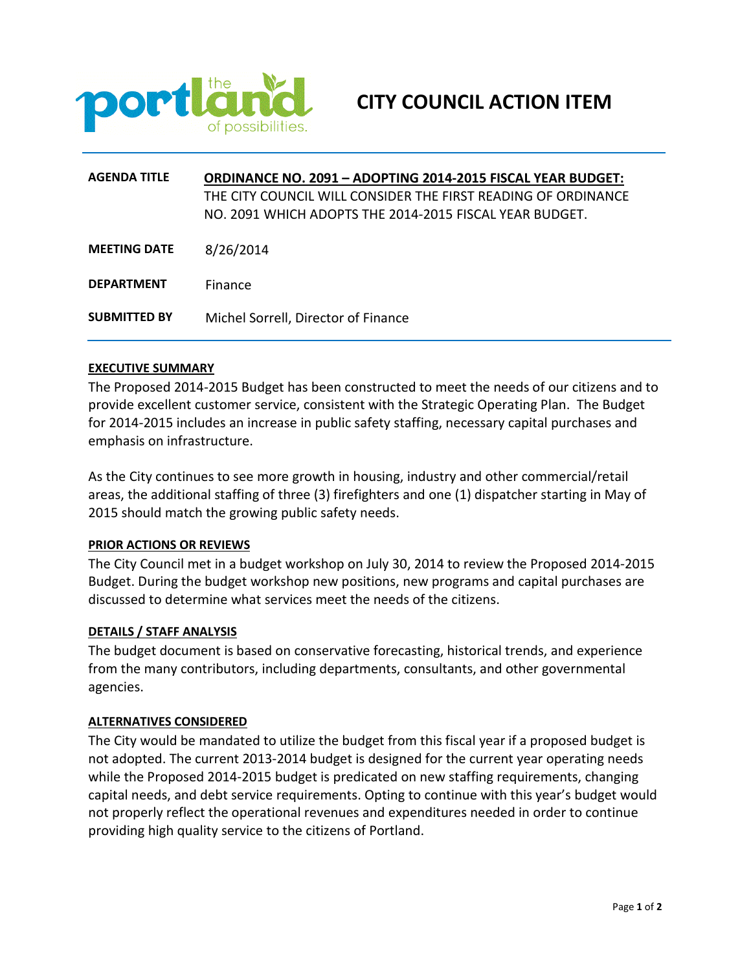

| <b>AGENDA TITLE</b> | <b>ORDINANCE NO. 2091 - ADOPTING 2014-2015 FISCAL YEAR BUDGET:</b><br>THE CITY COUNCIL WILL CONSIDER THE FIRST READING OF ORDINANCE<br>NO. 2091 WHICH ADOPTS THE 2014-2015 FISCAL YEAR BUDGET. |
|---------------------|------------------------------------------------------------------------------------------------------------------------------------------------------------------------------------------------|
| <b>MEETING DATE</b> | 8/26/2014                                                                                                                                                                                      |
| <b>DEPARTMENT</b>   | Finance                                                                                                                                                                                        |
| <b>SUBMITTED BY</b> | Michel Sorrell, Director of Finance                                                                                                                                                            |

The Proposed 2014-2015 Budget has been constructed to meet the needs of our citizens and to provide excellent customer service, consistent with the Strategic Operating Plan. The Budget for 2014-2015 includes an increase in public safety staffing, necessary capital purchases and emphasis on infrastructure.

As the City continues to see more growth in housing, industry and other commercial/retail areas, the additional staffing of three (3) firefighters and one (1) dispatcher starting in May of 2015 should match the growing public safety needs.

#### **PRIOR ACTIONS OR REVIEWS**

The City Council met in a budget workshop on July 30, 2014 to review the Proposed 2014-2015 Budget. During the budget workshop new positions, new programs and capital purchases are discussed to determine what services meet the needs of the citizens.

#### **DETAILS / STAFF ANALYSIS**

The budget document is based on conservative forecasting, historical trends, and experience from the many contributors, including departments, consultants, and other governmental agencies.

#### **ALTERNATIVES CONSIDERED**

The City would be mandated to utilize the budget from this fiscal year if a proposed budget is not adopted. The current 2013-2014 budget is designed for the current year operating needs while the Proposed 2014-2015 budget is predicated on new staffing requirements, changing capital needs, and debt service requirements. Opting to continue with this year's budget would not properly reflect the operational revenues and expenditures needed in order to continue providing high quality service to the citizens of Portland.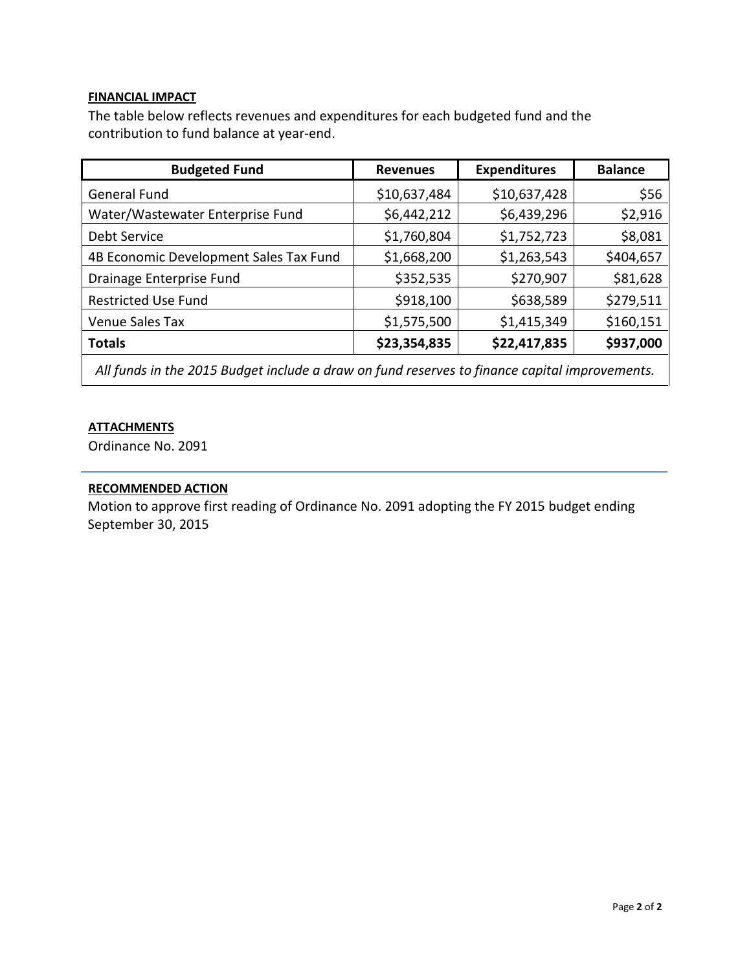# **FINANCIAL IMPACT**

The table below reflects revenues and expenditures for each budgeted fund and the contribution to fund balance at year-end.

| <b>Budgeted Fund</b>                   | <b>Revenues</b> | <b>Expenditures</b> | <b>Balance</b> |
|----------------------------------------|-----------------|---------------------|----------------|
| <b>General Fund</b>                    | \$10,637,484    | \$10,637,428        | \$56           |
| Water/Wastewater Enterprise Fund       | \$6,442,212     | \$6,439,296         | \$2,916        |
| Debt Service                           | \$1,760,804     | \$1,752,723         | \$8,081        |
| 4B Economic Development Sales Tax Fund | \$1,668,200     | \$1,263,543         | \$404,657      |
| Drainage Enterprise Fund               | \$352,535       | \$270,907           | \$81,628       |
| <b>Restricted Use Fund</b>             | \$918,100       | \$638,589           | \$279,511      |
| Venue Sales Tax                        | \$1,575,500     | \$1,415,349         | \$160,151      |
| <b>Totals</b>                          | \$23,354,835    | \$22,417,835        | \$937,000      |

*All funds in the 2015 Budget include a draw on fund reserves to finance capital improvements.*

## **ATTACHMENTS**

Ordinance No. 2091

## **RECOMMENDED ACTION**

Motion to approve first reading of Ordinance No. 2091 adopting the FY 2015 budget ending September 30, 2015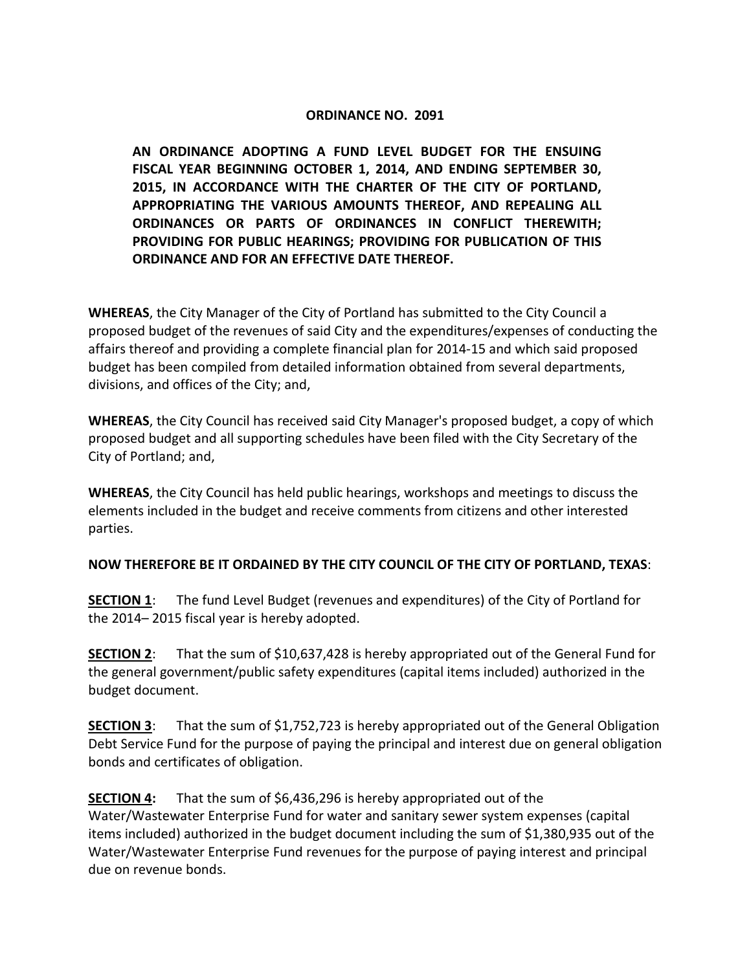# **ORDINANCE NO. 2091**

**AN ORDINANCE ADOPTING A FUND LEVEL BUDGET FOR THE ENSUING FISCAL YEAR BEGINNING OCTOBER 1, 2014, AND ENDING SEPTEMBER 30, 2015, IN ACCORDANCE WITH THE CHARTER OF THE CITY OF PORTLAND, APPROPRIATING THE VARIOUS AMOUNTS THEREOF, AND REPEALING ALL ORDINANCES OR PARTS OF ORDINANCES IN CONFLICT THEREWITH; PROVIDING FOR PUBLIC HEARINGS; PROVIDING FOR PUBLICATION OF THIS ORDINANCE AND FOR AN EFFECTIVE DATE THEREOF.**

**WHEREAS**, the City Manager of the City of Portland has submitted to the City Council a proposed budget of the revenues of said City and the expenditures/expenses of conducting the affairs thereof and providing a complete financial plan for 2014-15 and which said proposed budget has been compiled from detailed information obtained from several departments, divisions, and offices of the City; and,

**WHEREAS**, the City Council has received said City Manager's proposed budget, a copy of which proposed budget and all supporting schedules have been filed with the City Secretary of the City of Portland; and,

**WHEREAS**, the City Council has held public hearings, workshops and meetings to discuss the elements included in the budget and receive comments from citizens and other interested parties.

# **NOW THEREFORE BE IT ORDAINED BY THE CITY COUNCIL OF THE CITY OF PORTLAND, TEXAS**:

**SECTION 1**: The fund Level Budget (revenues and expenditures) of the City of Portland for the 2014– 2015 fiscal year is hereby adopted.

**SECTION 2:** That the sum of \$10,637,428 is hereby appropriated out of the General Fund for the general government/public safety expenditures (capital items included) authorized in the budget document.

**SECTION 3**: That the sum of \$1,752,723 is hereby appropriated out of the General Obligation Debt Service Fund for the purpose of paying the principal and interest due on general obligation bonds and certificates of obligation.

**SECTION 4:** That the sum of \$6,436,296 is hereby appropriated out of the Water/Wastewater Enterprise Fund for water and sanitary sewer system expenses (capital items included) authorized in the budget document including the sum of \$1,380,935 out of the Water/Wastewater Enterprise Fund revenues for the purpose of paying interest and principal due on revenue bonds.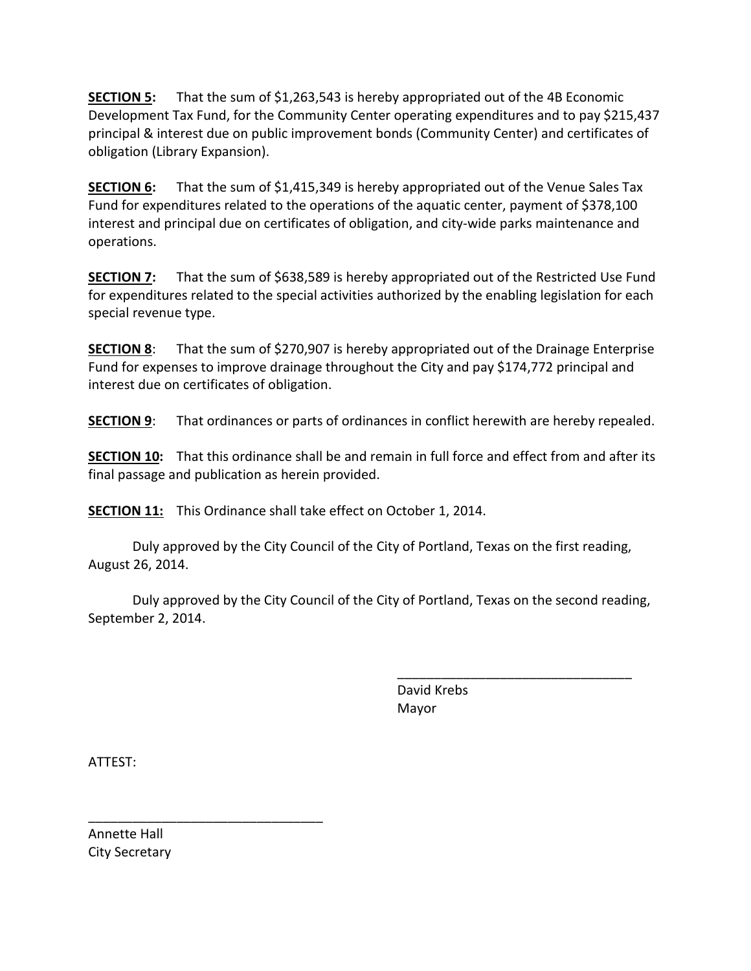**SECTION 5:** That the sum of \$1,263,543 is hereby appropriated out of the 4B Economic Development Tax Fund, for the Community Center operating expenditures and to pay \$215,437 principal & interest due on public improvement bonds (Community Center) and certificates of obligation (Library Expansion).

**SECTION 6:** That the sum of \$1,415,349 is hereby appropriated out of the Venue Sales Tax Fund for expenditures related to the operations of the aquatic center, payment of \$378,100 interest and principal due on certificates of obligation, and city-wide parks maintenance and operations.

**SECTION 7:** That the sum of \$638,589 is hereby appropriated out of the Restricted Use Fund for expenditures related to the special activities authorized by the enabling legislation for each special revenue type.

**SECTION 8**: That the sum of \$270,907 is hereby appropriated out of the Drainage Enterprise Fund for expenses to improve drainage throughout the City and pay \$174,772 principal and interest due on certificates of obligation.

**SECTION 9**: That ordinances or parts of ordinances in conflict herewith are hereby repealed.

**SECTION 10:** That this ordinance shall be and remain in full force and effect from and after its final passage and publication as herein provided.

**SECTION 11:** This Ordinance shall take effect on October 1, 2014.

Duly approved by the City Council of the City of Portland, Texas on the first reading, August 26, 2014.

Duly approved by the City Council of the City of Portland, Texas on the second reading, September 2, 2014.

> David Krebs Mayor

\_\_\_\_\_\_\_\_\_\_\_\_\_\_\_\_\_\_\_\_\_\_\_\_\_\_\_\_\_\_\_\_

ATTEST:

Annette Hall City Secretary

\_\_\_\_\_\_\_\_\_\_\_\_\_\_\_\_\_\_\_\_\_\_\_\_\_\_\_\_\_\_\_\_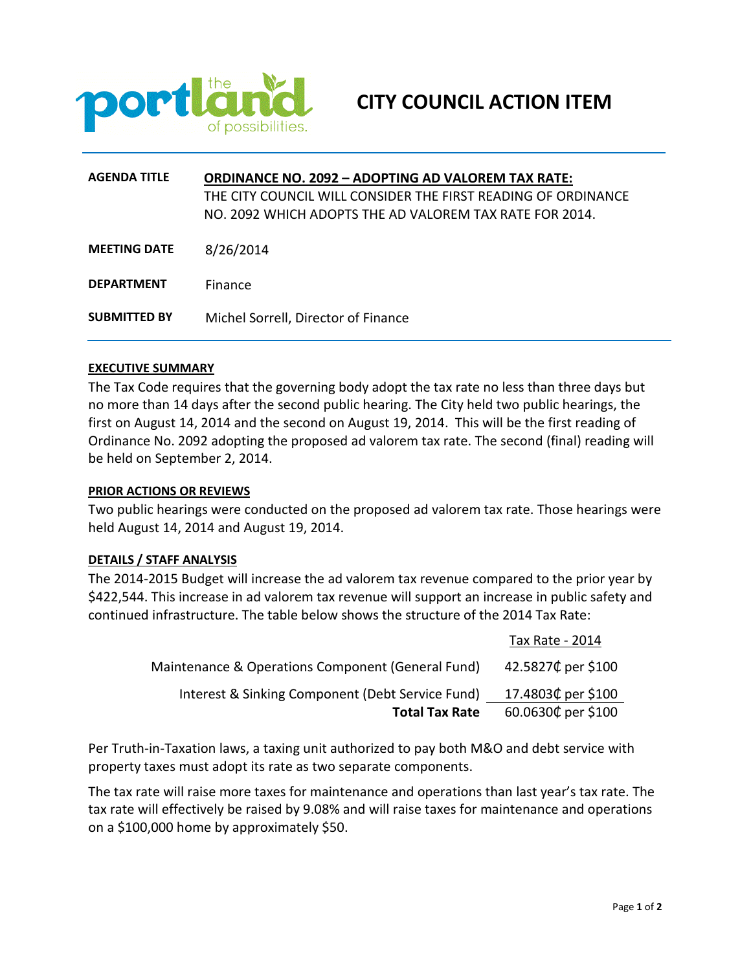

| <b>AGENDA TITLE</b> | <b>ORDINANCE NO. 2092 - ADOPTING AD VALOREM TAX RATE:</b>     |  |  |  |
|---------------------|---------------------------------------------------------------|--|--|--|
|                     | THE CITY COUNCIL WILL CONSIDER THE FIRST READING OF ORDINANCE |  |  |  |
|                     | NO. 2092 WHICH ADOPTS THE AD VALOREM TAX RATE FOR 2014.       |  |  |  |
|                     |                                                               |  |  |  |
| <b>MEETING DATE</b> | 8/26/2014                                                     |  |  |  |
|                     |                                                               |  |  |  |
| <b>DEPARTMENT</b>   | Finance                                                       |  |  |  |
| <b>SUBMITTED BY</b> |                                                               |  |  |  |
|                     | Michel Sorrell, Director of Finance                           |  |  |  |

The Tax Code requires that the governing body adopt the tax rate no less than three days but no more than 14 days after the second public hearing. The City held two public hearings, the first on August 14, 2014 and the second on August 19, 2014. This will be the first reading of Ordinance No. 2092 adopting the proposed ad valorem tax rate. The second (final) reading will be held on September 2, 2014.

#### **PRIOR ACTIONS OR REVIEWS**

Two public hearings were conducted on the proposed ad valorem tax rate. Those hearings were held August 14, 2014 and August 19, 2014.

#### **DETAILS / STAFF ANALYSIS**

The 2014-2015 Budget will increase the ad valorem tax revenue compared to the prior year by \$422,544. This increase in ad valorem tax revenue will support an increase in public safety and continued infrastructure. The table below shows the structure of the 2014 Tax Rate:

|                                                   | Tax Rate - 2014    |
|---------------------------------------------------|--------------------|
| Maintenance & Operations Component (General Fund) | 42.5827¢ per \$100 |
| Interest & Sinking Component (Debt Service Fund)  | 17.4803¢ per \$100 |
| <b>Total Tax Rate</b>                             | 60.0630¢ per \$100 |

Per Truth-in-Taxation laws, a taxing unit authorized to pay both M&O and debt service with property taxes must adopt its rate as two separate components.

The tax rate will raise more taxes for maintenance and operations than last year's tax rate. The tax rate will effectively be raised by 9.08% and will raise taxes for maintenance and operations on a \$100,000 home by approximately \$50.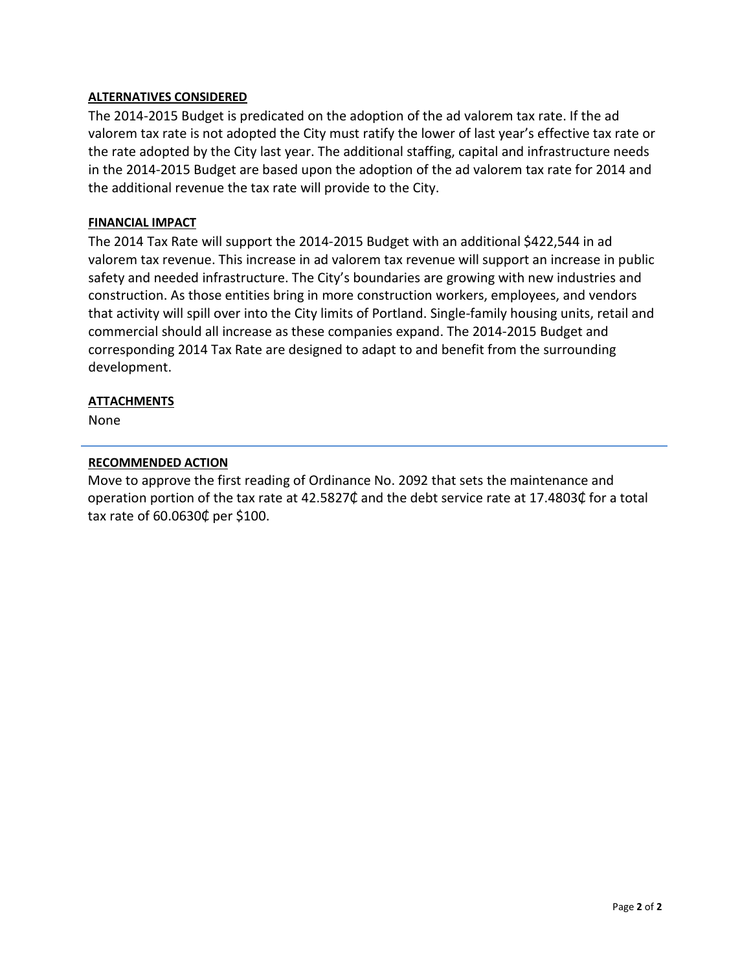# **ALTERNATIVES CONSIDERED**

The 2014-2015 Budget is predicated on the adoption of the ad valorem tax rate. If the ad valorem tax rate is not adopted the City must ratify the lower of last year's effective tax rate or the rate adopted by the City last year. The additional staffing, capital and infrastructure needs in the 2014-2015 Budget are based upon the adoption of the ad valorem tax rate for 2014 and the additional revenue the tax rate will provide to the City.

# **FINANCIAL IMPACT**

The 2014 Tax Rate will support the 2014-2015 Budget with an additional \$422,544 in ad valorem tax revenue. This increase in ad valorem tax revenue will support an increase in public safety and needed infrastructure. The City's boundaries are growing with new industries and construction. As those entities bring in more construction workers, employees, and vendors that activity will spill over into the City limits of Portland. Single-family housing units, retail and commercial should all increase as these companies expand. The 2014-2015 Budget and corresponding 2014 Tax Rate are designed to adapt to and benefit from the surrounding development.

## **ATTACHMENTS**

None

# **RECOMMENDED ACTION**

Move to approve the first reading of Ordinance No. 2092 that sets the maintenance and operation portion of the tax rate at 42.5827¢ and the debt service rate at 17.4803¢ for a total tax rate of 60.0630₵ per \$100.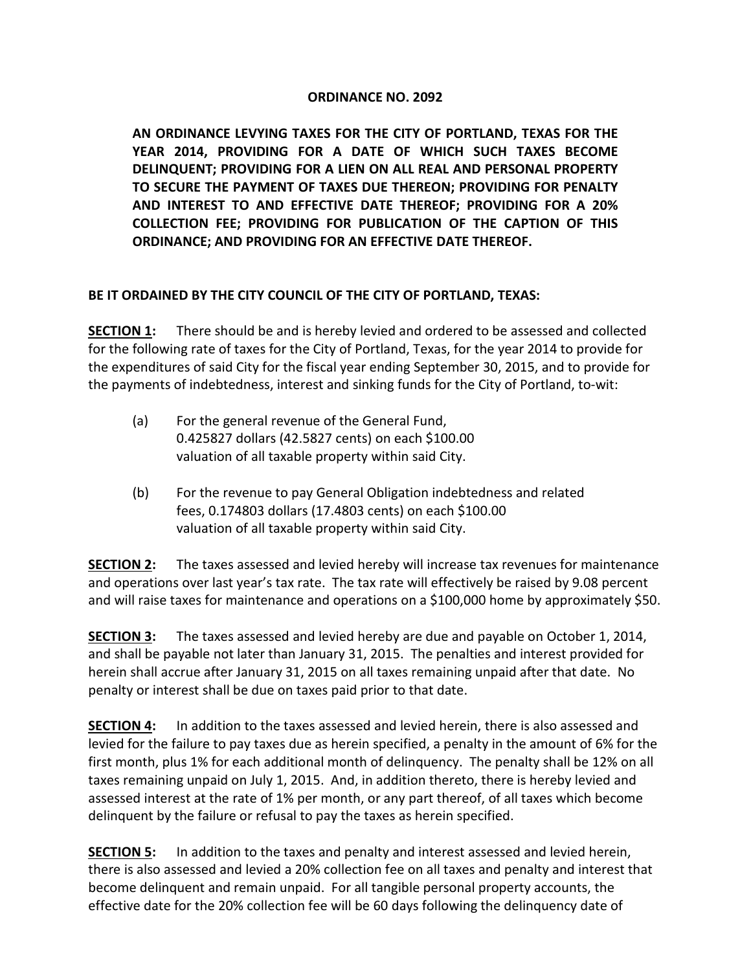# **ORDINANCE NO. 2092**

**AN ORDINANCE LEVYING TAXES FOR THE CITY OF PORTLAND, TEXAS FOR THE YEAR 2014, PROVIDING FOR A DATE OF WHICH SUCH TAXES BECOME DELINQUENT; PROVIDING FOR A LIEN ON ALL REAL AND PERSONAL PROPERTY TO SECURE THE PAYMENT OF TAXES DUE THEREON; PROVIDING FOR PENALTY AND INTEREST TO AND EFFECTIVE DATE THEREOF; PROVIDING FOR A 20% COLLECTION FEE; PROVIDING FOR PUBLICATION OF THE CAPTION OF THIS ORDINANCE; AND PROVIDING FOR AN EFFECTIVE DATE THEREOF.**

# **BE IT ORDAINED BY THE CITY COUNCIL OF THE CITY OF PORTLAND, TEXAS:**

**SECTION 1:** There should be and is hereby levied and ordered to be assessed and collected for the following rate of taxes for the City of Portland, Texas, for the year 2014 to provide for the expenditures of said City for the fiscal year ending September 30, 2015, and to provide for the payments of indebtedness, interest and sinking funds for the City of Portland, to-wit:

- (a) For the general revenue of the General Fund, 0.425827 dollars (42.5827 cents) on each \$100.00 valuation of all taxable property within said City.
- (b) For the revenue to pay General Obligation indebtedness and related fees, 0.174803 dollars (17.4803 cents) on each \$100.00 valuation of all taxable property within said City.

**SECTION 2:** The taxes assessed and levied hereby will increase tax revenues for maintenance and operations over last year's tax rate. The tax rate will effectively be raised by 9.08 percent and will raise taxes for maintenance and operations on a \$100,000 home by approximately \$50.

**SECTION 3:** The taxes assessed and levied hereby are due and payable on October 1, 2014, and shall be payable not later than January 31, 2015. The penalties and interest provided for herein shall accrue after January 31, 2015 on all taxes remaining unpaid after that date. No penalty or interest shall be due on taxes paid prior to that date.

**SECTION 4:** In addition to the taxes assessed and levied herein, there is also assessed and levied for the failure to pay taxes due as herein specified, a penalty in the amount of 6% for the first month, plus 1% for each additional month of delinquency. The penalty shall be 12% on all taxes remaining unpaid on July 1, 2015. And, in addition thereto, there is hereby levied and assessed interest at the rate of 1% per month, or any part thereof, of all taxes which become delinquent by the failure or refusal to pay the taxes as herein specified.

**SECTION 5:** In addition to the taxes and penalty and interest assessed and levied herein, there is also assessed and levied a 20% collection fee on all taxes and penalty and interest that become delinquent and remain unpaid. For all tangible personal property accounts, the effective date for the 20% collection fee will be 60 days following the delinquency date of